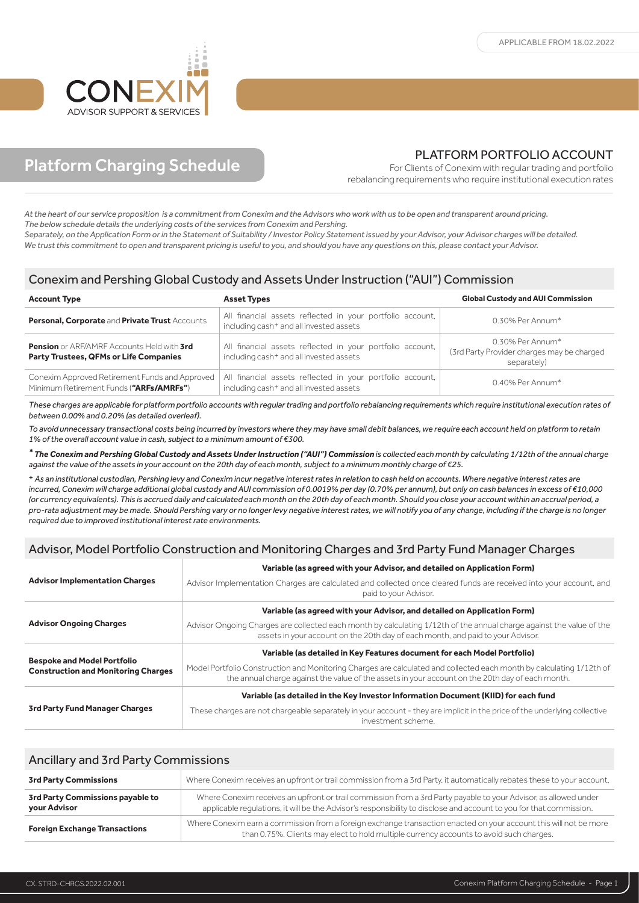

# Platform Charging Schedule

### PLATFORM PORTFOLIO ACCOUNT

For Clients of Conexim with regular trading and portfolio rebalancing requirements who require institutional execution rates

*At the heart of our service proposition is a commitment from Conexim and the Advisors who work with us to be open and transparent around pricing. The below schedule details the underlying costs of the services from Conexim and Pershing.* 

*Separately, on the Application Form or in the Statement of Suitability / Investor Policy Statement issued by your Advisor, your Advisor charges will be detailed. We trust this commitment to open and transparent pricing is useful to you, and should you have any questions on this, please contact your Advisor.* 

#### Conexim and Pershing Global Custody and Assets Under Instruction ("AUI") Commission

| <b>Account Type</b>                                                                                | <b>Asset Types</b>                                                                                               | <b>Global Custody and AUI Commission</b>                                      |
|----------------------------------------------------------------------------------------------------|------------------------------------------------------------------------------------------------------------------|-------------------------------------------------------------------------------|
| Personal, Corporate and Private Trust Accounts                                                     | All financial assets reflected in your portfolio account,<br>including cash+ and all invested assets             | $0.30\%$ Per Annum*                                                           |
| <b>Pension</b> or ARF/AMRF Accounts Held with 3rd<br><b>Party Trustees, QFMs or Life Companies</b> | All financial assets reflected in your portfolio account,<br>including cash <sup>+</sup> and all invested assets | 0.30% Per Annum*<br>(3rd Party Provider charges may be charged<br>separately) |
| Conexim Approved Retirement Funds and Approved<br>Minimum Retirement Funds ("ARFs/AMRFs")          | All financial assets reflected in your portfolio account,<br>including cash <sup>+</sup> and all invested assets | 0.40% Per Annum*                                                              |

*These charges are applicable for platform portfolio accounts with regular trading and portfolio rebalancing requirements which require institutional execution rates of between 0.00% and 0.20% (as detailed overleaf).* 

*To avoid unnecessary transactional costs being incurred by investors where they may have small debit balances, we require each account held on platform to retain 1% of the overall account value in cash, subject to a minimum amount of €300.*

*\* The Conexim and Pershing Global Custody and Assets Under Instruction ("AUI") Commission is collected each month by calculating 1/12th of the annual charge against the value of the assets in your account on the 20th day of each month, subject to a minimum monthly charge of €25.*

+ *As an institutional custodian, Pershing levy and Conexim incur negative interest rates in relation to cash held on accounts. Where negative interest rates are incurred, Conexim will charge additional global custody and AUI commission of 0.0019% per day (0.70% per annum), but only on cash balances in excess of €10,000 (or currency equivalents). This is accrued daily and calculated each month on the 20th day of each month. Should you close your account within an accrual period, a pro-rata adjustment may be made. Should Pershing vary or no longer levy negative interest rates, we will notify you of any change, including if the charge is no longer required due to improved institutional interest rate environments.*

## Advisor, Model Portfolio Construction and Monitoring Charges and 3rd Party Fund Manager Charges

|                                                                                  | Variable (as agreed with your Advisor, and detailed on Application Form)                                                                                                                                                 |
|----------------------------------------------------------------------------------|--------------------------------------------------------------------------------------------------------------------------------------------------------------------------------------------------------------------------|
| <b>Advisor Implementation Charges</b>                                            | Advisor Implementation Charges are calculated and collected once cleared funds are received into your account, and<br>paid to your Advisor.                                                                              |
| <b>Advisor Ongoing Charges</b>                                                   | Variable (as agreed with your Advisor, and detailed on Application Form)                                                                                                                                                 |
|                                                                                  | Advisor Ongoing Charges are collected each month by calculating 1/12th of the annual charge against the value of the<br>assets in your account on the 20th day of each month, and paid to your Advisor.                  |
| <b>Bespoke and Model Portfolio</b><br><b>Construction and Monitoring Charges</b> | Variable (as detailed in Key Features document for each Model Portfolio)                                                                                                                                                 |
|                                                                                  | Model Portfolio Construction and Monitoring Charges are calculated and collected each month by calculating 1/12th of<br>the annual charge against the value of the assets in your account on the 20th day of each month. |
|                                                                                  | Variable (as detailed in the Key Investor Information Document (KIID) for each fund                                                                                                                                      |
| 3rd Party Fund Manager Charges                                                   | These charges are not chargeable separately in your account - they are implicit in the price of the underlying collective<br>investment scheme.                                                                          |

| <b>Ancillary and 3rd Party Commissions</b>       |                                                                                                                                                                                                                                         |
|--------------------------------------------------|-----------------------------------------------------------------------------------------------------------------------------------------------------------------------------------------------------------------------------------------|
| <b>3rd Party Commissions</b>                     | Where Conexim receives an upfront or trail commission from a 3rd Party, it automatically rebates these to your account.                                                                                                                 |
| 3rd Party Commissions payable to<br>your Advisor | Where Conexim receives an upfront or trail commission from a 3rd Party payable to your Advisor, as allowed under<br>applicable requlations, it will be the Advisor's responsibility to disclose and account to you for that commission. |
| <b>Foreign Exchange Transactions</b>             | Where Conexim earn a commission from a foreign exchange transaction enacted on your account this will not be more<br>than 0.75%. Clients may elect to hold multiple currency accounts to avoid such charges.                            |